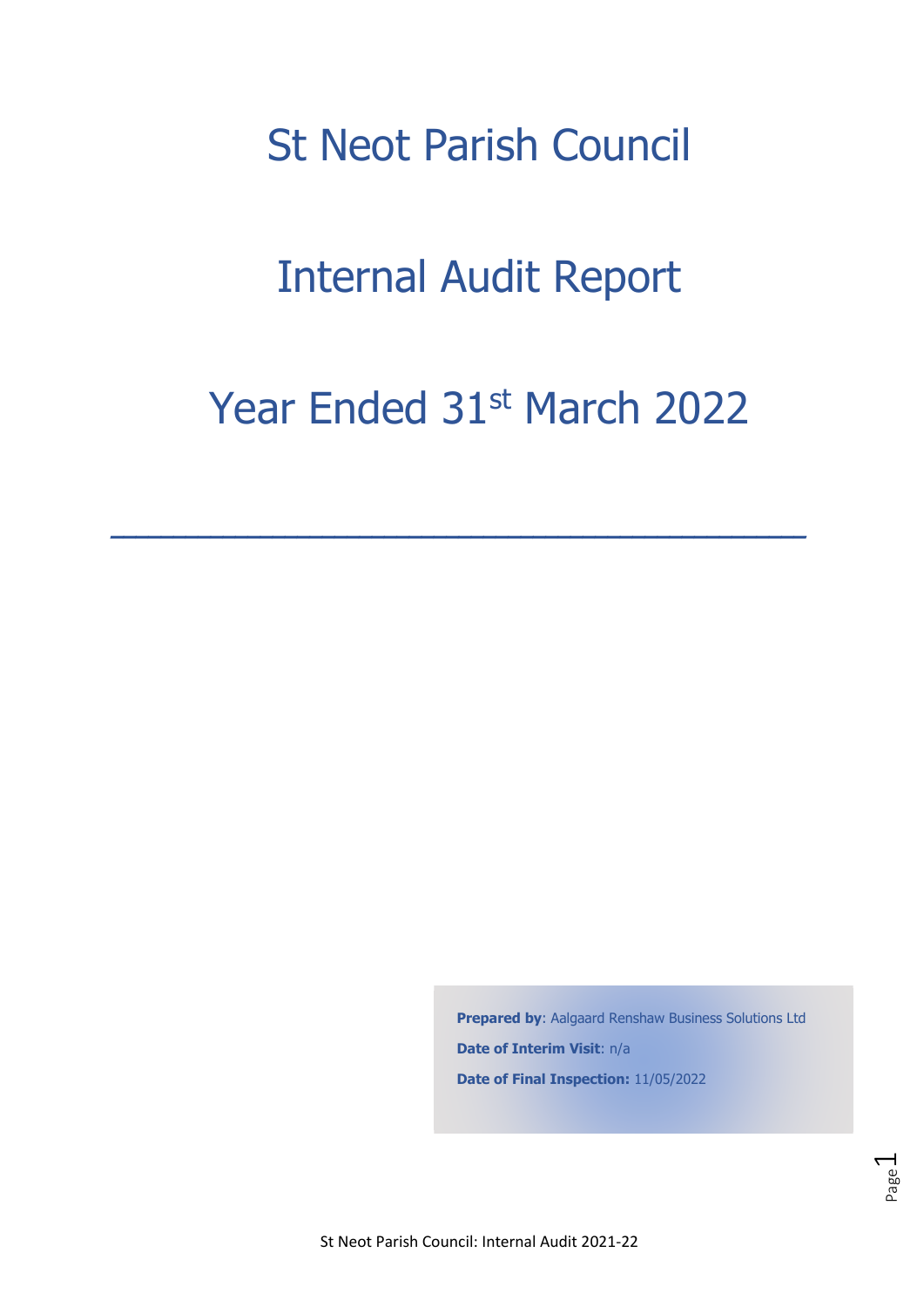# St Neot Parish Council

# Internal Audit Report

# Year Ended 31st March 2022

**\_\_\_\_\_\_\_\_\_\_\_\_\_\_\_\_\_\_\_\_\_\_\_\_\_\_\_\_\_\_\_\_\_\_\_\_\_\_\_\_\_\_\_\_\_\_\_\_\_\_\_\_\_\_\_\_** 

**Prepared by**: Aalgaard Renshaw Business Solutions Ltd **Date of Interim Visit**: n/a **Date of Final Inspection:** 11/05/2022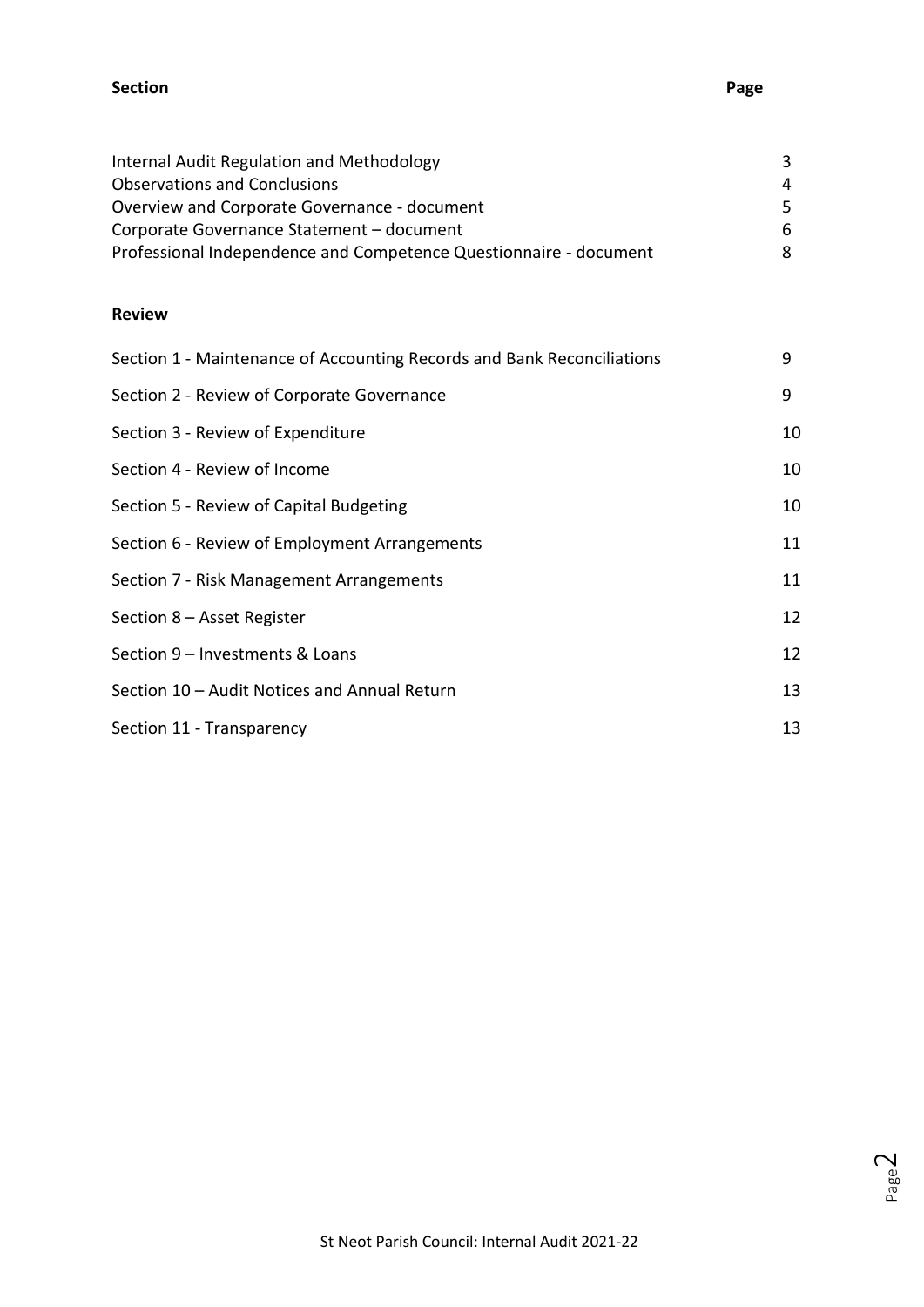#### **Section Page**

| Internal Audit Regulation and Methodology                         | 3   |
|-------------------------------------------------------------------|-----|
| <b>Observations and Conclusions</b>                               | 4   |
| Overview and Corporate Governance - document                      | -5. |
| Corporate Governance Statement - document                         | 6   |
| Professional Independence and Competence Questionnaire - document | 8   |

#### **Review**

| Section 1 - Maintenance of Accounting Records and Bank Reconciliations | 9  |
|------------------------------------------------------------------------|----|
| Section 2 - Review of Corporate Governance                             | 9  |
| Section 3 - Review of Expenditure                                      | 10 |
| Section 4 - Review of Income                                           | 10 |
| Section 5 - Review of Capital Budgeting                                | 10 |
| Section 6 - Review of Employment Arrangements                          | 11 |
| Section 7 - Risk Management Arrangements                               | 11 |
| Section 8 - Asset Register                                             | 12 |
| Section 9 - Investments & Loans                                        | 12 |
| Section 10 - Audit Notices and Annual Return                           | 13 |
| Section 11 - Transparency                                              | 13 |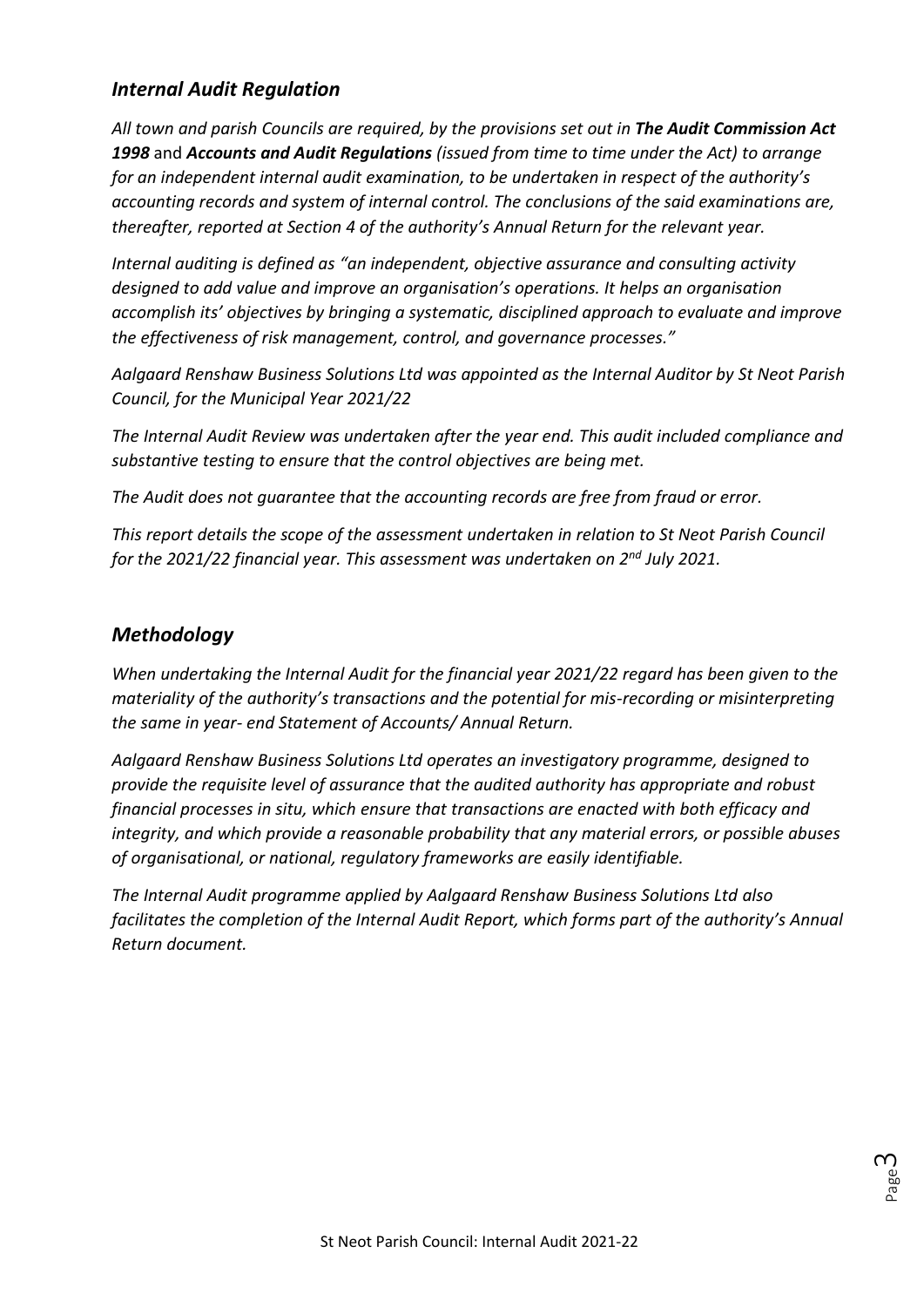# *Internal Audit Regulation*

*All town and parish Councils are required, by the provisions set out in The Audit Commission Act 1998* and *Accounts and Audit Regulations (issued from time to time under the Act) to arrange for an independent internal audit examination, to be undertaken in respect of the authority's accounting records and system of internal control. The conclusions of the said examinations are, thereafter, reported at Section 4 of the authority's Annual Return for the relevant year.*

*Internal auditing is defined as "an independent, objective assurance and consulting activity designed to add value and improve an organisation's operations. It helps an organisation accomplish its' objectives by bringing a systematic, disciplined approach to evaluate and improve the effectiveness of risk management, control, and governance processes."*

*Aalgaard Renshaw Business Solutions Ltd was appointed as the Internal Auditor by St Neot Parish Council, for the Municipal Year 2021/22*

*The Internal Audit Review was undertaken after the year end. This audit included compliance and substantive testing to ensure that the control objectives are being met.*

*The Audit does not guarantee that the accounting records are free from fraud or error.*

*This report details the scope of the assessment undertaken in relation to St Neot Parish Council for the 2021/22 financial year. This assessment was undertaken on 2 nd July 2021.*

## *Methodology*

*When undertaking the Internal Audit for the financial year 2021/22 regard has been given to the materiality of the authority's transactions and the potential for mis-recording or misinterpreting the same in year- end Statement of Accounts/ Annual Return.*

*Aalgaard Renshaw Business Solutions Ltd operates an investigatory programme, designed to provide the requisite level of assurance that the audited authority has appropriate and robust financial processes in situ, which ensure that transactions are enacted with both efficacy and integrity, and which provide a reasonable probability that any material errors, or possible abuses of organisational, or national, regulatory frameworks are easily identifiable.*

*The Internal Audit programme applied by Aalgaard Renshaw Business Solutions Ltd also facilitates the completion of the Internal Audit Report, which forms part of the authority's Annual Return document.*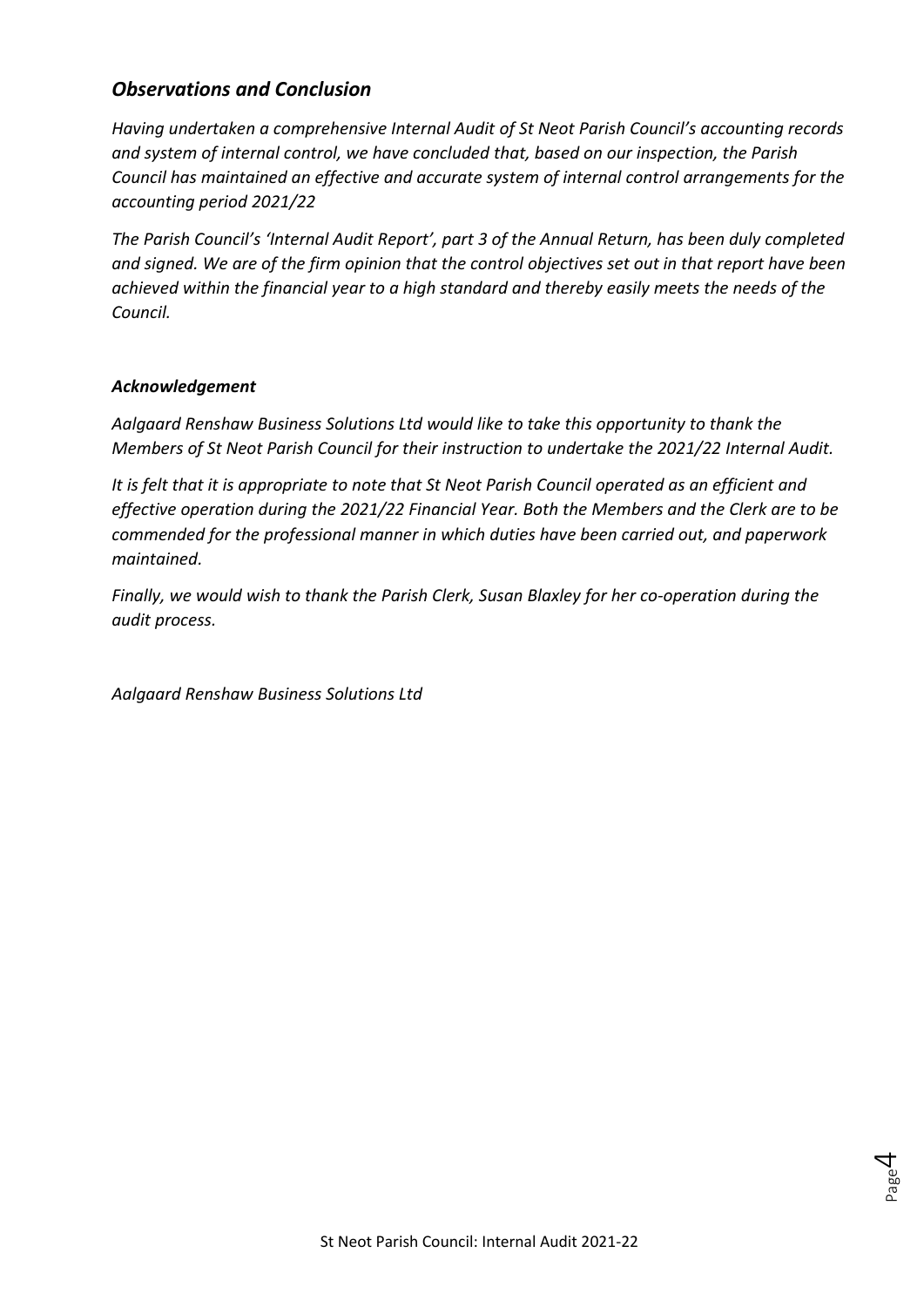# *Observations and Conclusion*

*Having undertaken a comprehensive Internal Audit of St Neot Parish Council's accounting records and system of internal control, we have concluded that, based on our inspection, the Parish Council has maintained an effective and accurate system of internal control arrangements for the accounting period 2021/22*

*The Parish Council's 'Internal Audit Report', part 3 of the Annual Return, has been duly completed and signed. We are of the firm opinion that the control objectives set out in that report have been achieved within the financial year to a high standard and thereby easily meets the needs of the Council.*

#### *Acknowledgement*

*Aalgaard Renshaw Business Solutions Ltd would like to take this opportunity to thank the Members of St Neot Parish Council for their instruction to undertake the 2021/22 Internal Audit.*

*It is felt that it is appropriate to note that St Neot Parish Council operated as an efficient and effective operation during the 2021/22 Financial Year. Both the Members and the Clerk are to be commended for the professional manner in which duties have been carried out, and paperwork maintained.*

*Finally, we would wish to thank the Parish Clerk, Susan Blaxley for her co-operation during the audit process.*

*Aalgaard Renshaw Business Solutions Ltd*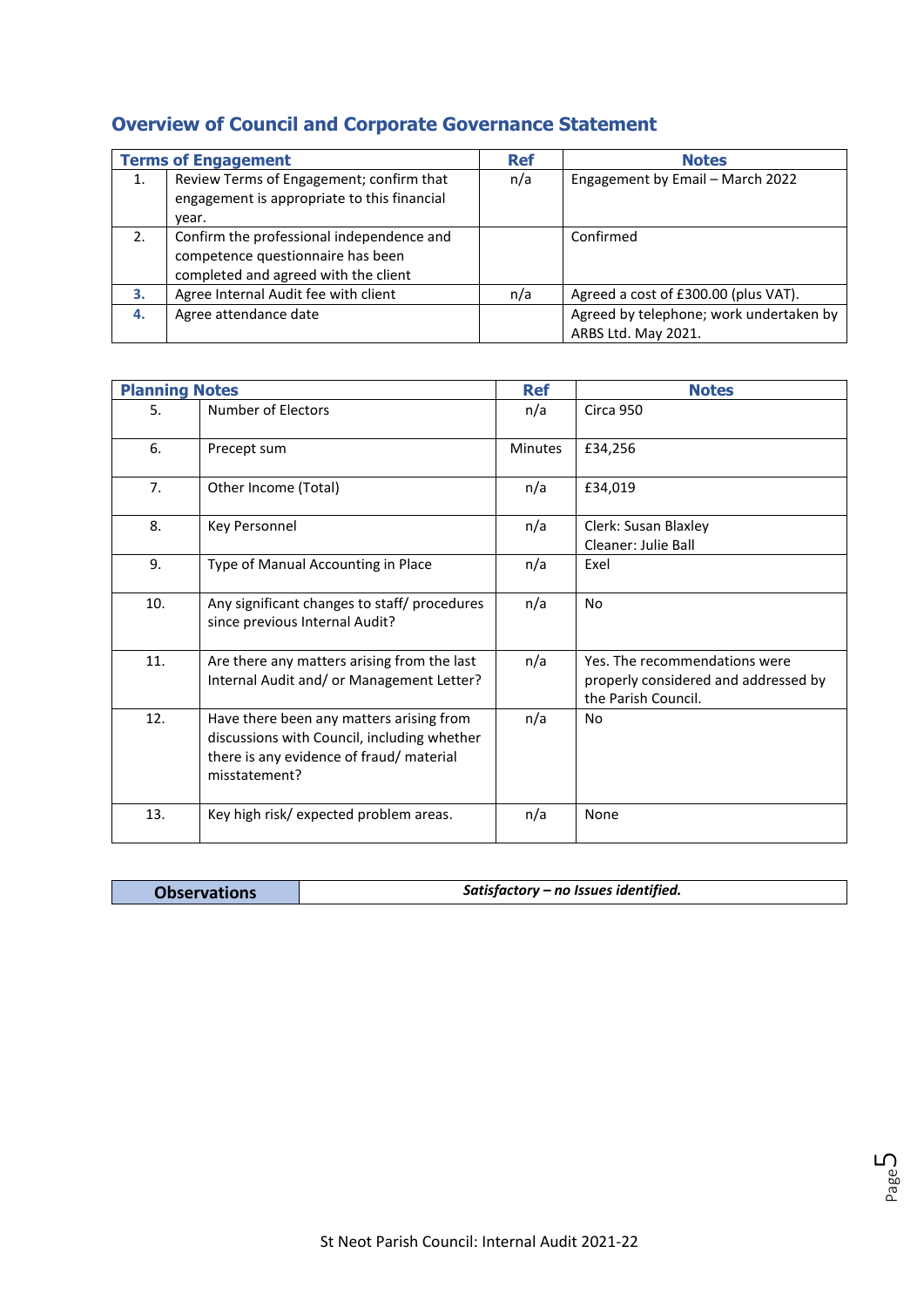|    | <b>Terms of Engagement</b>                                                                                             | <b>Ref</b> | <b>Notes</b>                                                   |
|----|------------------------------------------------------------------------------------------------------------------------|------------|----------------------------------------------------------------|
| 1. | Review Terms of Engagement; confirm that<br>engagement is appropriate to this financial<br>year.                       | n/a        | Engagement by Email - March 2022                               |
| 2. | Confirm the professional independence and<br>competence questionnaire has been<br>completed and agreed with the client |            | Confirmed                                                      |
| 3. | Agree Internal Audit fee with client                                                                                   | n/a        | Agreed a cost of £300.00 (plus VAT).                           |
| 4. | Agree attendance date                                                                                                  |            | Agreed by telephone; work undertaken by<br>ARBS Ltd. May 2021. |

# **Overview of Council and Corporate Governance Statement**

| <b>Planning Notes</b> |                                                                                                                                                      | <b>Ref</b>     | <b>Notes</b>                                                                                 |
|-----------------------|------------------------------------------------------------------------------------------------------------------------------------------------------|----------------|----------------------------------------------------------------------------------------------|
| 5.                    | Number of Electors                                                                                                                                   | n/a            | Circa 950                                                                                    |
| 6.                    | Precept sum                                                                                                                                          | <b>Minutes</b> | £34,256                                                                                      |
| 7.                    | Other Income (Total)                                                                                                                                 | n/a            | £34,019                                                                                      |
| 8.                    | <b>Key Personnel</b>                                                                                                                                 | n/a            | Clerk: Susan Blaxley<br>Cleaner: Julie Ball                                                  |
| 9.                    | Type of Manual Accounting in Place                                                                                                                   | n/a            | Exel                                                                                         |
| 10.                   | Any significant changes to staff/ procedures<br>since previous Internal Audit?                                                                       | n/a            | <b>No</b>                                                                                    |
| 11.                   | Are there any matters arising from the last<br>Internal Audit and/ or Management Letter?                                                             | n/a            | Yes. The recommendations were<br>properly considered and addressed by<br>the Parish Council. |
| 12.                   | Have there been any matters arising from<br>discussions with Council, including whether<br>there is any evidence of fraud/ material<br>misstatement? | n/a            | N <sub>o</sub>                                                                               |
| 13.                   | Key high risk/ expected problem areas.                                                                                                               | n/a            | None                                                                                         |

| <b>Observations</b> | Satisfactory – no Issues identified. |
|---------------------|--------------------------------------|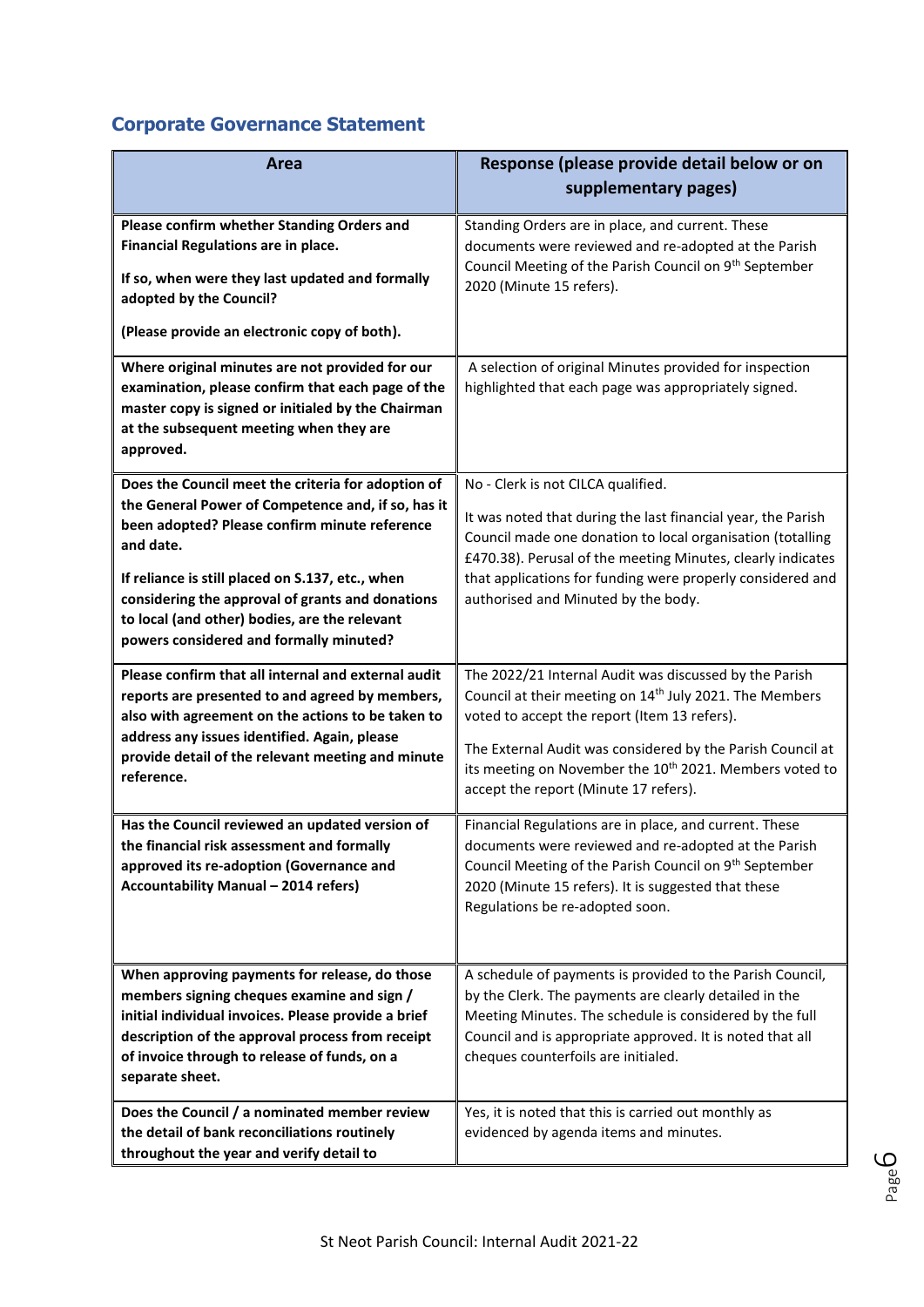# **Corporate Governance Statement**

| Area                                                                                                                                                                                                                                                                                                                                                                       | Response (please provide detail below or on<br>supplementary pages)                                                                                                                                                                                                                                                                                         |
|----------------------------------------------------------------------------------------------------------------------------------------------------------------------------------------------------------------------------------------------------------------------------------------------------------------------------------------------------------------------------|-------------------------------------------------------------------------------------------------------------------------------------------------------------------------------------------------------------------------------------------------------------------------------------------------------------------------------------------------------------|
| Please confirm whether Standing Orders and<br>Financial Regulations are in place.<br>If so, when were they last updated and formally<br>adopted by the Council?<br>(Please provide an electronic copy of both).                                                                                                                                                            | Standing Orders are in place, and current. These<br>documents were reviewed and re-adopted at the Parish<br>Council Meeting of the Parish Council on 9 <sup>th</sup> September<br>2020 (Minute 15 refers).                                                                                                                                                  |
| Where original minutes are not provided for our<br>examination, please confirm that each page of the<br>master copy is signed or initialed by the Chairman<br>at the subsequent meeting when they are<br>approved.                                                                                                                                                         | A selection of original Minutes provided for inspection<br>highlighted that each page was appropriately signed.                                                                                                                                                                                                                                             |
| Does the Council meet the criteria for adoption of<br>the General Power of Competence and, if so, has it<br>been adopted? Please confirm minute reference<br>and date.<br>If reliance is still placed on S.137, etc., when<br>considering the approval of grants and donations<br>to local (and other) bodies, are the relevant<br>powers considered and formally minuted? | No - Clerk is not CILCA qualified.<br>It was noted that during the last financial year, the Parish<br>Council made one donation to local organisation (totalling<br>£470.38). Perusal of the meeting Minutes, clearly indicates<br>that applications for funding were properly considered and<br>authorised and Minuted by the body.                        |
| Please confirm that all internal and external audit<br>reports are presented to and agreed by members,<br>also with agreement on the actions to be taken to<br>address any issues identified. Again, please<br>provide detail of the relevant meeting and minute<br>reference.                                                                                             | The 2022/21 Internal Audit was discussed by the Parish<br>Council at their meeting on 14 <sup>th</sup> July 2021. The Members<br>voted to accept the report (Item 13 refers).<br>The External Audit was considered by the Parish Council at<br>its meeting on November the 10 <sup>th</sup> 2021. Members voted to<br>accept the report (Minute 17 refers). |
| Has the Council reviewed an updated version of<br>the financial risk assessment and formally<br>approved its re-adoption (Governance and<br><b>Accountability Manual - 2014 refers)</b>                                                                                                                                                                                    | Financial Regulations are in place, and current. These<br>documents were reviewed and re-adopted at the Parish<br>Council Meeting of the Parish Council on 9 <sup>th</sup> September<br>2020 (Minute 15 refers). It is suggested that these<br>Regulations be re-adopted soon.                                                                              |
| When approving payments for release, do those<br>members signing cheques examine and sign /<br>initial individual invoices. Please provide a brief<br>description of the approval process from receipt<br>of invoice through to release of funds, on a<br>separate sheet.                                                                                                  | A schedule of payments is provided to the Parish Council,<br>by the Clerk. The payments are clearly detailed in the<br>Meeting Minutes. The schedule is considered by the full<br>Council and is appropriate approved. It is noted that all<br>cheques counterfoils are initialed.                                                                          |
| Does the Council / a nominated member review<br>the detail of bank reconciliations routinely<br>throughout the year and verify detail to                                                                                                                                                                                                                                   | Yes, it is noted that this is carried out monthly as<br>evidenced by agenda items and minutes.                                                                                                                                                                                                                                                              |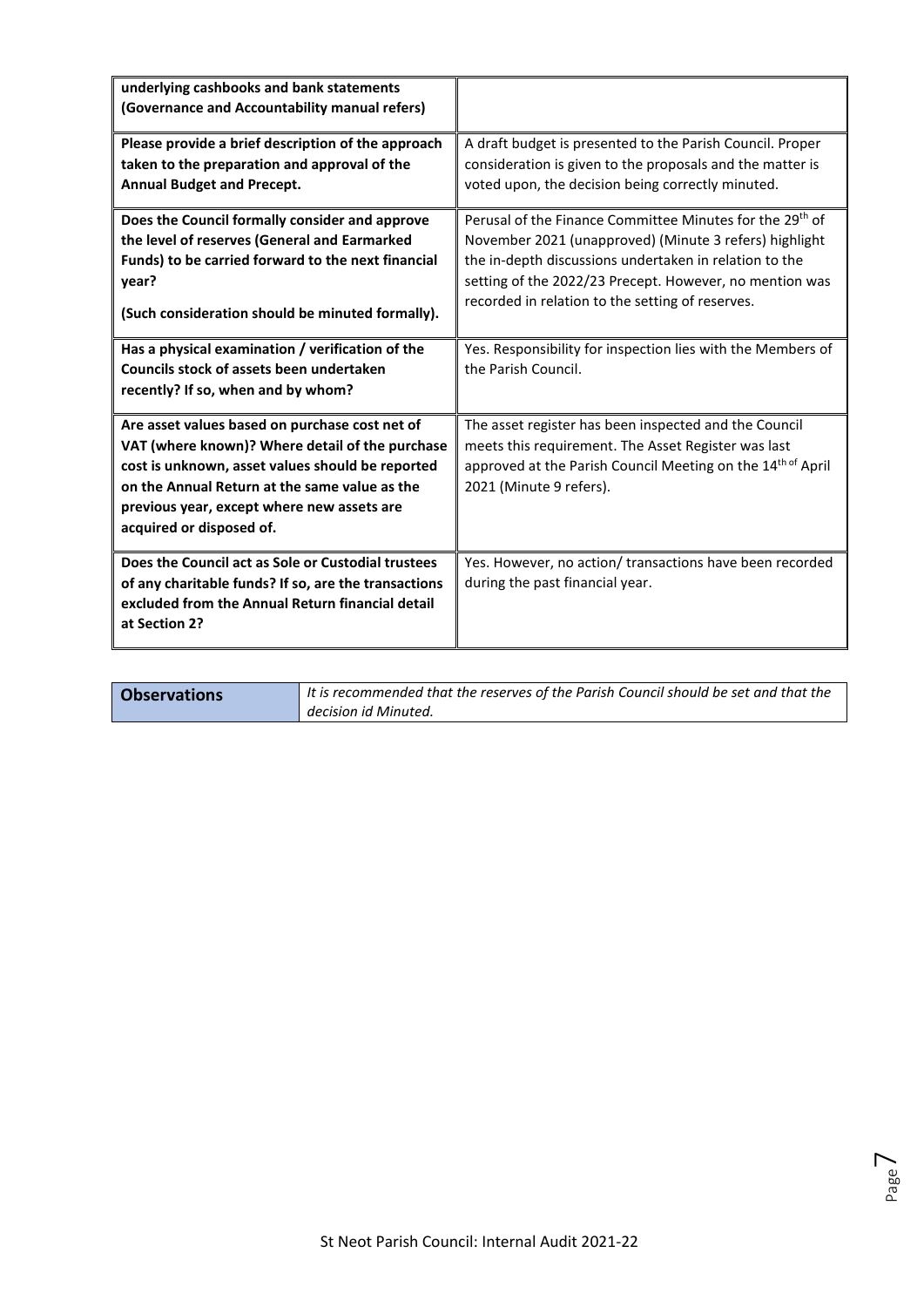| underlying cashbooks and bank statements<br>(Governance and Accountability manual refers)                                                                                                                                                                                        |                                                                                                                                                                                                                                                                                                         |
|----------------------------------------------------------------------------------------------------------------------------------------------------------------------------------------------------------------------------------------------------------------------------------|---------------------------------------------------------------------------------------------------------------------------------------------------------------------------------------------------------------------------------------------------------------------------------------------------------|
| Please provide a brief description of the approach<br>taken to the preparation and approval of the<br><b>Annual Budget and Precept.</b>                                                                                                                                          | A draft budget is presented to the Parish Council. Proper<br>consideration is given to the proposals and the matter is<br>voted upon, the decision being correctly minuted.                                                                                                                             |
| Does the Council formally consider and approve<br>the level of reserves (General and Earmarked<br>Funds) to be carried forward to the next financial<br>year?<br>(Such consideration should be minuted formally).                                                                | Perusal of the Finance Committee Minutes for the 29 <sup>th</sup> of<br>November 2021 (unapproved) (Minute 3 refers) highlight<br>the in-depth discussions undertaken in relation to the<br>setting of the 2022/23 Precept. However, no mention was<br>recorded in relation to the setting of reserves. |
| Has a physical examination / verification of the<br>Councils stock of assets been undertaken<br>recently? If so, when and by whom?                                                                                                                                               | Yes. Responsibility for inspection lies with the Members of<br>the Parish Council.                                                                                                                                                                                                                      |
| Are asset values based on purchase cost net of<br>VAT (where known)? Where detail of the purchase<br>cost is unknown, asset values should be reported<br>on the Annual Return at the same value as the<br>previous year, except where new assets are<br>acquired or disposed of. | The asset register has been inspected and the Council<br>meets this requirement. The Asset Register was last<br>approved at the Parish Council Meeting on the 14 <sup>th of</sup> April<br>2021 (Minute 9 refers).                                                                                      |
| Does the Council act as Sole or Custodial trustees<br>of any charitable funds? If so, are the transactions<br>excluded from the Annual Return financial detail<br>at Section 2?                                                                                                  | Yes. However, no action/ transactions have been recorded<br>during the past financial year.                                                                                                                                                                                                             |

| <b>Observations</b> | I It is recommended that the reserves of the Parish Council should be set and that the |  |  |
|---------------------|----------------------------------------------------------------------------------------|--|--|
|                     | decision id Minuted.                                                                   |  |  |

Page  $\overline{\phantom{1}}$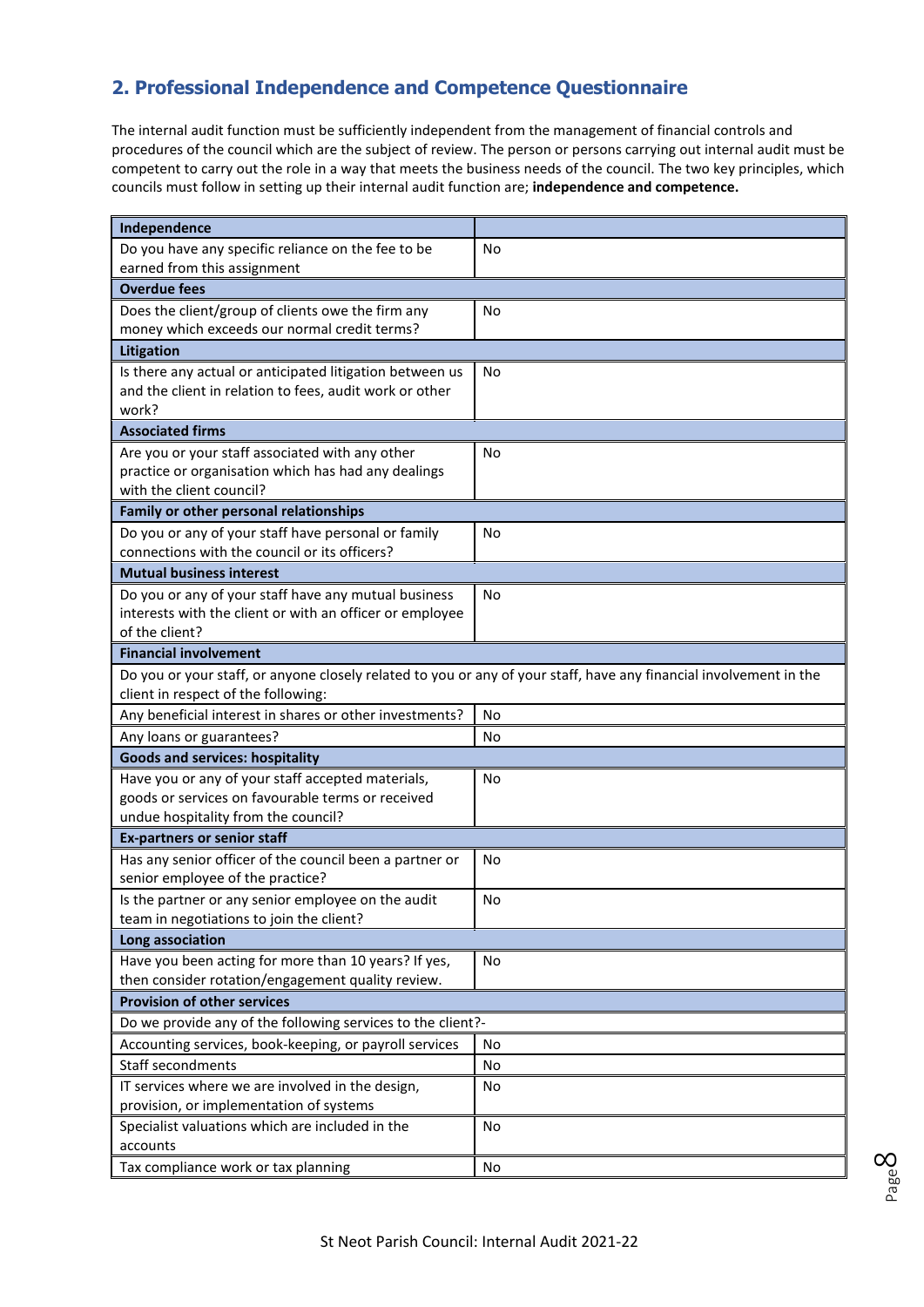# **2. Professional Independence and Competence Questionnaire**

The internal audit function must be sufficiently independent from the management of financial controls and procedures of the council which are the subject of review. The person or persons carrying out internal audit must be competent to carry out the role in a way that meets the business needs of the council. The two key principles, which councils must follow in setting up their internal audit function are; **independence and competence.**

| Independence                                                                                                       |           |  |  |
|--------------------------------------------------------------------------------------------------------------------|-----------|--|--|
| Do you have any specific reliance on the fee to be                                                                 | No        |  |  |
| earned from this assignment                                                                                        |           |  |  |
| <b>Overdue fees</b>                                                                                                |           |  |  |
| Does the client/group of clients owe the firm any                                                                  | <b>No</b> |  |  |
| money which exceeds our normal credit terms?                                                                       |           |  |  |
| Litigation                                                                                                         |           |  |  |
| Is there any actual or anticipated litigation between us                                                           | No        |  |  |
| and the client in relation to fees, audit work or other                                                            |           |  |  |
| work?                                                                                                              |           |  |  |
| <b>Associated firms</b>                                                                                            |           |  |  |
| Are you or your staff associated with any other                                                                    | No        |  |  |
| practice or organisation which has had any dealings<br>with the client council?                                    |           |  |  |
|                                                                                                                    |           |  |  |
| Family or other personal relationships                                                                             |           |  |  |
| Do you or any of your staff have personal or family<br>connections with the council or its officers?               | No        |  |  |
| <b>Mutual business interest</b>                                                                                    |           |  |  |
| Do you or any of your staff have any mutual business                                                               | <b>No</b> |  |  |
| interests with the client or with an officer or employee                                                           |           |  |  |
| of the client?                                                                                                     |           |  |  |
| <b>Financial involvement</b>                                                                                       |           |  |  |
| Do you or your staff, or anyone closely related to you or any of your staff, have any financial involvement in the |           |  |  |
| client in respect of the following:                                                                                |           |  |  |
| Any beneficial interest in shares or other investments?                                                            | No        |  |  |
| Any loans or guarantees?                                                                                           | No        |  |  |
| <b>Goods and services: hospitality</b>                                                                             |           |  |  |
| Have you or any of your staff accepted materials,                                                                  | No        |  |  |
| goods or services on favourable terms or received                                                                  |           |  |  |
| undue hospitality from the council?                                                                                |           |  |  |
| <b>Ex-partners or senior staff</b>                                                                                 |           |  |  |
| Has any senior officer of the council been a partner or                                                            | No        |  |  |
| senior employee of the practice?                                                                                   |           |  |  |
| Is the partner or any senior employee on the audit                                                                 | No        |  |  |
| team in negotiations to join the client?                                                                           |           |  |  |
| Long association                                                                                                   |           |  |  |
| Have you been acting for more than 10 years? If yes,                                                               | No        |  |  |
| then consider rotation/engagement quality review.<br><b>Provision of other services</b>                            |           |  |  |
|                                                                                                                    |           |  |  |
| Do we provide any of the following services to the client?-                                                        |           |  |  |
| Accounting services, book-keeping, or payroll services<br>Staff secondments                                        | No        |  |  |
|                                                                                                                    | No        |  |  |
| IT services where we are involved in the design,<br>provision, or implementation of systems                        | No        |  |  |
| Specialist valuations which are included in the                                                                    | No        |  |  |
| accounts                                                                                                           |           |  |  |
| Tax compliance work or tax planning                                                                                | No        |  |  |
|                                                                                                                    |           |  |  |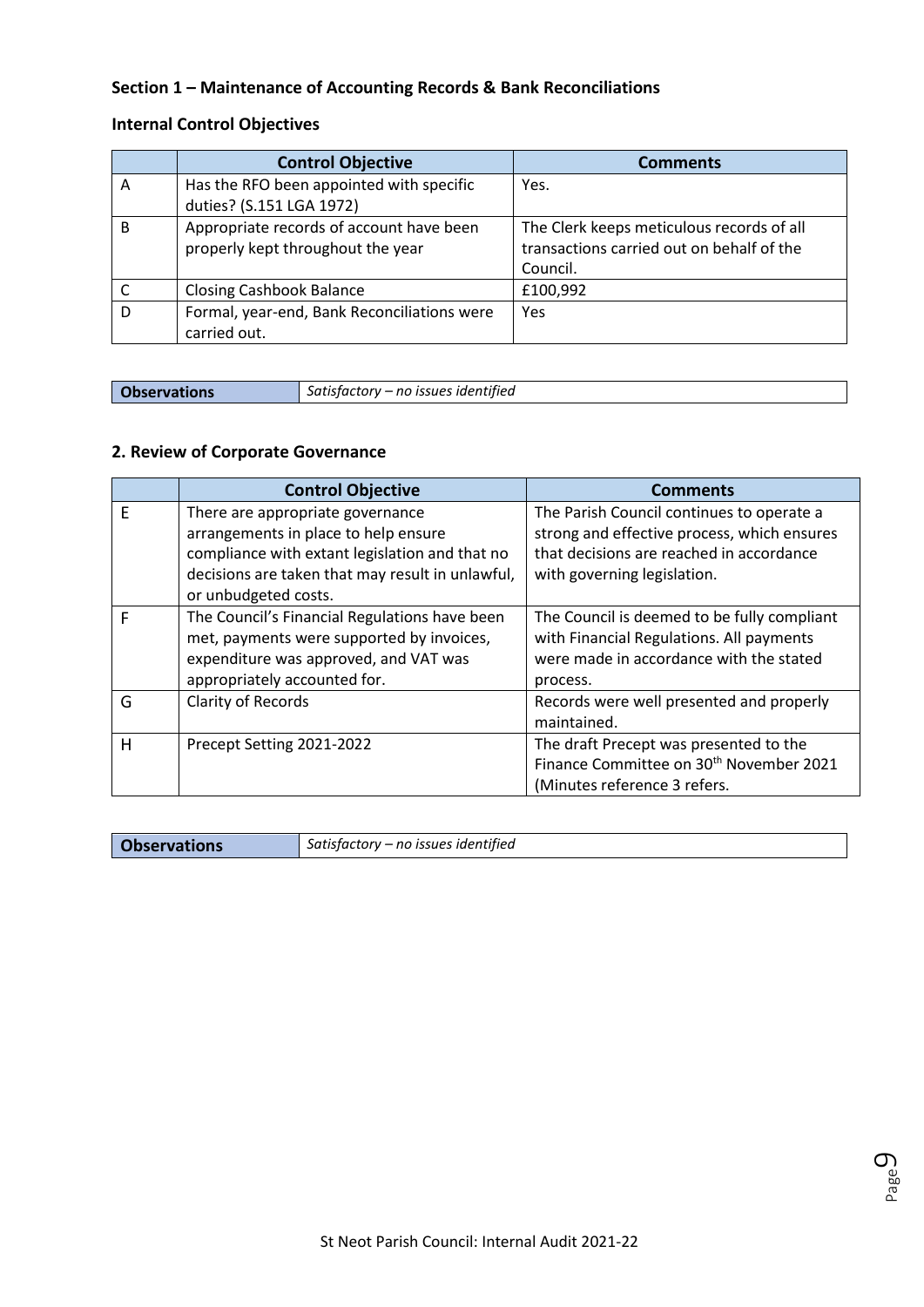#### **Section 1 – Maintenance of Accounting Records & Bank Reconciliations**

### **Internal Control Objectives**

|   | <b>Control Objective</b>                    | <b>Comments</b>                           |
|---|---------------------------------------------|-------------------------------------------|
| A | Has the RFO been appointed with specific    | Yes.                                      |
|   | duties? (S.151 LGA 1972)                    |                                           |
| B | Appropriate records of account have been    | The Clerk keeps meticulous records of all |
|   | properly kept throughout the year           | transactions carried out on behalf of the |
|   |                                             | Council.                                  |
|   | <b>Closing Cashbook Balance</b>             | £100,992                                  |
| D | Formal, year-end, Bank Reconciliations were | Yes                                       |
|   | carried out.                                |                                           |

**Observations** *Satisfactory – no issues identified*

#### **2. Review of Corporate Governance**

|   | <b>Control Objective</b>                         | <b>Comments</b>                                     |
|---|--------------------------------------------------|-----------------------------------------------------|
| E | There are appropriate governance                 | The Parish Council continues to operate a           |
|   | arrangements in place to help ensure             | strong and effective process, which ensures         |
|   | compliance with extant legislation and that no   | that decisions are reached in accordance            |
|   | decisions are taken that may result in unlawful, | with governing legislation.                         |
|   | or unbudgeted costs.                             |                                                     |
| F | The Council's Financial Regulations have been    | The Council is deemed to be fully compliant         |
|   | met, payments were supported by invoices,        | with Financial Regulations. All payments            |
|   | expenditure was approved, and VAT was            | were made in accordance with the stated             |
|   | appropriately accounted for.                     | process.                                            |
| G | <b>Clarity of Records</b>                        | Records were well presented and properly            |
|   |                                                  | maintained.                                         |
| н | Precept Setting 2021-2022                        | The draft Precept was presented to the              |
|   |                                                  | Finance Committee on 30 <sup>th</sup> November 2021 |
|   |                                                  | (Minutes reference 3 refers.                        |

**Observations** *Satisfactory – no issues identified*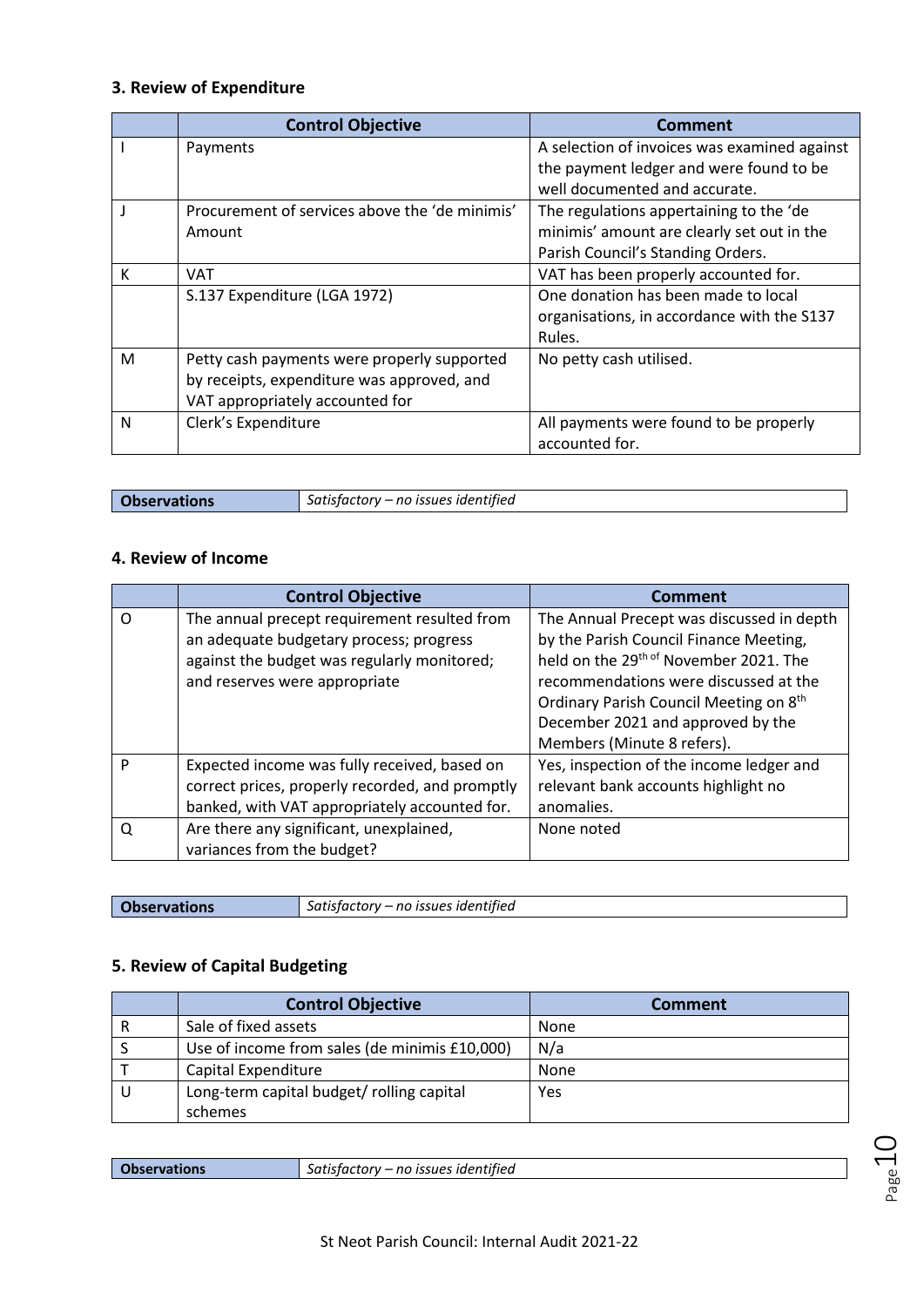## **3. Review of Expenditure**

|   | <b>Control Objective</b>                       | Comment                                      |
|---|------------------------------------------------|----------------------------------------------|
|   | Payments                                       | A selection of invoices was examined against |
|   |                                                | the payment ledger and were found to be      |
|   |                                                | well documented and accurate.                |
|   | Procurement of services above the 'de minimis' | The regulations appertaining to the 'de      |
|   | Amount                                         | minimis' amount are clearly set out in the   |
|   |                                                | Parish Council's Standing Orders.            |
| К | <b>VAT</b>                                     | VAT has been properly accounted for.         |
|   | S.137 Expenditure (LGA 1972)                   | One donation has been made to local          |
|   |                                                | organisations, in accordance with the S137   |
|   |                                                | Rules.                                       |
| M | Petty cash payments were properly supported    | No petty cash utilised.                      |
|   | by receipts, expenditure was approved, and     |                                              |
|   | VAT appropriately accounted for                |                                              |
| N | Clerk's Expenditure                            | All payments were found to be properly       |
|   |                                                | accounted for.                               |

**Observations** *Satisfactory – no issues identified*

#### **4. Review of Income**

|          | <b>Control Objective</b>                        | Comment                                            |
|----------|-------------------------------------------------|----------------------------------------------------|
| $\Omega$ | The annual precept requirement resulted from    | The Annual Precept was discussed in depth          |
|          | an adequate budgetary process; progress         | by the Parish Council Finance Meeting,             |
|          | against the budget was regularly monitored;     | held on the 29 <sup>th of</sup> November 2021. The |
|          | and reserves were appropriate                   | recommendations were discussed at the              |
|          |                                                 | Ordinary Parish Council Meeting on 8 <sup>th</sup> |
|          |                                                 | December 2021 and approved by the                  |
|          |                                                 | Members (Minute 8 refers).                         |
| P        | Expected income was fully received, based on    | Yes, inspection of the income ledger and           |
|          | correct prices, properly recorded, and promptly | relevant bank accounts highlight no                |
|          | banked, with VAT appropriately accounted for.   | anomalies.                                         |
| O        | Are there any significant, unexplained,         | None noted                                         |
|          | variances from the budget?                      |                                                    |

| <b>Observations</b> | Satisfactory - no issues identified |
|---------------------|-------------------------------------|

## **5. Review of Capital Budgeting**

|   | <b>Control Objective</b>                      | <b>Comment</b> |
|---|-----------------------------------------------|----------------|
| R | Sale of fixed assets                          | None           |
|   | Use of income from sales (de minimis £10,000) | N/a            |
|   | Capital Expenditure                           | None           |
|   | Long-term capital budget/ rolling capital     | Yes            |
|   | schemes                                       |                |

|  | <b>Observations</b> | Satisfactory – no issues identified |
|--|---------------------|-------------------------------------|
|--|---------------------|-------------------------------------|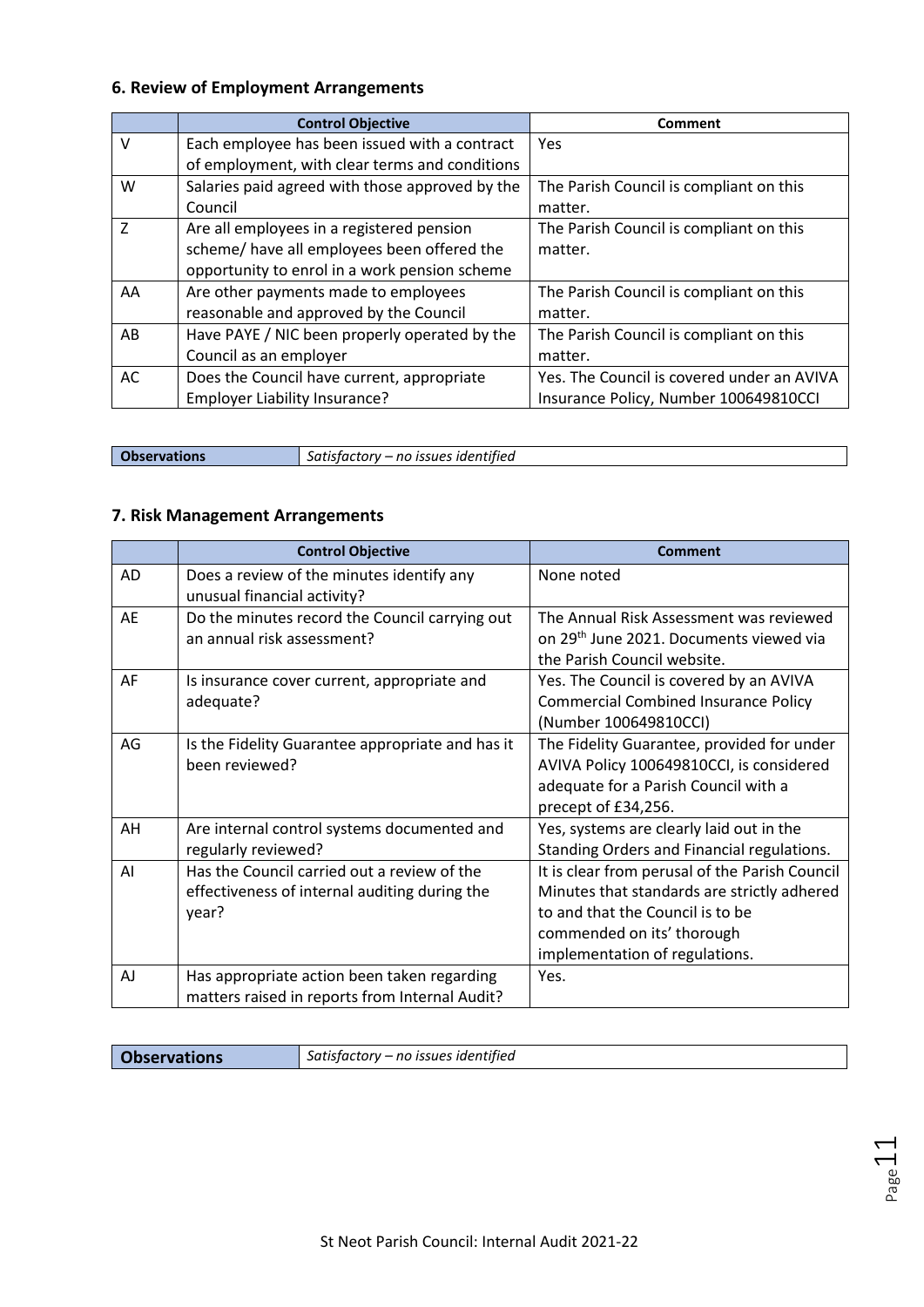### **6. Review of Employment Arrangements**

|                | <b>Control Objective</b>                        | <b>Comment</b>                             |
|----------------|-------------------------------------------------|--------------------------------------------|
| $\vee$         | Each employee has been issued with a contract   | Yes                                        |
|                | of employment, with clear terms and conditions  |                                            |
| W              | Salaries paid agreed with those approved by the | The Parish Council is compliant on this    |
|                | Council                                         | matter.                                    |
| $\overline{7}$ | Are all employees in a registered pension       | The Parish Council is compliant on this    |
|                | scheme/ have all employees been offered the     | matter.                                    |
|                | opportunity to enrol in a work pension scheme   |                                            |
| AA             | Are other payments made to employees            | The Parish Council is compliant on this    |
|                | reasonable and approved by the Council          | matter.                                    |
| AB             | Have PAYE / NIC been properly operated by the   | The Parish Council is compliant on this    |
|                | Council as an employer                          | matter.                                    |
| AC             | Does the Council have current, appropriate      | Yes. The Council is covered under an AVIVA |
|                | Employer Liability Insurance?                   | Insurance Policy, Number 100649810CCI      |

**Observations** *Satisfactory – no issues identified*

### **7. Risk Management Arrangements**

|    | <b>Control Objective</b>                                                                              | <b>Comment</b>                                                                                                                                                                                    |
|----|-------------------------------------------------------------------------------------------------------|---------------------------------------------------------------------------------------------------------------------------------------------------------------------------------------------------|
| AD | Does a review of the minutes identify any<br>unusual financial activity?                              | None noted                                                                                                                                                                                        |
| AE | Do the minutes record the Council carrying out<br>an annual risk assessment?                          | The Annual Risk Assessment was reviewed<br>on 29 <sup>th</sup> June 2021. Documents viewed via<br>the Parish Council website.                                                                     |
| AF | Is insurance cover current, appropriate and<br>adequate?                                              | Yes. The Council is covered by an AVIVA<br><b>Commercial Combined Insurance Policy</b><br>(Number 100649810CCI)                                                                                   |
| AG | Is the Fidelity Guarantee appropriate and has it<br>been reviewed?                                    | The Fidelity Guarantee, provided for under<br>AVIVA Policy 100649810CCI, is considered<br>adequate for a Parish Council with a<br>precept of £34,256.                                             |
| AH | Are internal control systems documented and<br>regularly reviewed?                                    | Yes, systems are clearly laid out in the<br>Standing Orders and Financial regulations.                                                                                                            |
| AI | Has the Council carried out a review of the<br>effectiveness of internal auditing during the<br>year? | It is clear from perusal of the Parish Council<br>Minutes that standards are strictly adhered<br>to and that the Council is to be<br>commended on its' thorough<br>implementation of regulations. |
| AJ | Has appropriate action been taken regarding<br>matters raised in reports from Internal Audit?         | Yes.                                                                                                                                                                                              |

**Observations** *Satisfactory – no issues identified*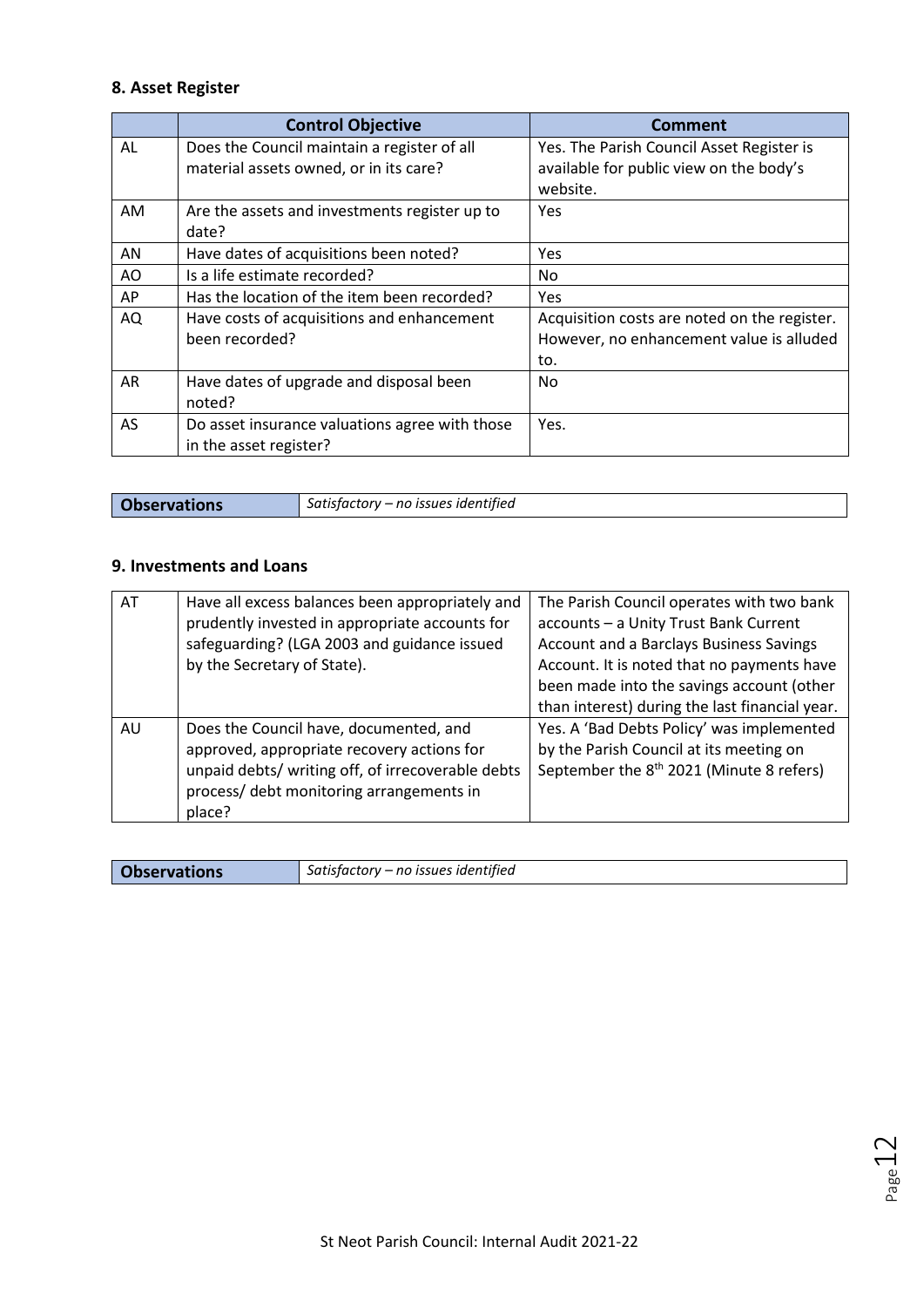### **8. Asset Register**

|           | <b>Control Objective</b>                                                              | <b>Comment</b>                                                                                   |
|-----------|---------------------------------------------------------------------------------------|--------------------------------------------------------------------------------------------------|
| AL        | Does the Council maintain a register of all<br>material assets owned, or in its care? | Yes. The Parish Council Asset Register is<br>available for public view on the body's<br>website. |
| AM        | Are the assets and investments register up to<br>date?                                | Yes                                                                                              |
| AN        | Have dates of acquisitions been noted?                                                | Yes                                                                                              |
| AO        | Is a life estimate recorded?                                                          | No                                                                                               |
| AP        | Has the location of the item been recorded?                                           | <b>Yes</b>                                                                                       |
| AQ        | Have costs of acquisitions and enhancement                                            | Acquisition costs are noted on the register.                                                     |
|           | been recorded?                                                                        | However, no enhancement value is alluded                                                         |
|           |                                                                                       | to.                                                                                              |
| AR        | Have dates of upgrade and disposal been<br>noted?                                     | No.                                                                                              |
| <b>AS</b> | Do asset insurance valuations agree with those<br>in the asset register?              | Yes.                                                                                             |

| <b>Observations</b> | Satisfactory – no issues identified |
|---------------------|-------------------------------------|

#### **9. Investments and Loans**

| AT | Have all excess balances been appropriately and<br>prudently invested in appropriate accounts for<br>safeguarding? (LGA 2003 and guidance issued<br>by the Secretary of State).                 | The Parish Council operates with two bank<br>accounts - a Unity Trust Bank Current<br>Account and a Barclays Business Savings<br>Account. It is noted that no payments have<br>been made into the savings account (other<br>than interest) during the last financial year. |
|----|-------------------------------------------------------------------------------------------------------------------------------------------------------------------------------------------------|----------------------------------------------------------------------------------------------------------------------------------------------------------------------------------------------------------------------------------------------------------------------------|
| AU | Does the Council have, documented, and<br>approved, appropriate recovery actions for<br>unpaid debts/ writing off, of irrecoverable debts<br>process/ debt monitoring arrangements in<br>place? | Yes. A 'Bad Debts Policy' was implemented<br>by the Parish Council at its meeting on<br>September the 8 <sup>th</sup> 2021 (Minute 8 refers)                                                                                                                               |

| Satisfactory – no issues identified<br><b>Observations</b> |  |
|------------------------------------------------------------|--|
|------------------------------------------------------------|--|